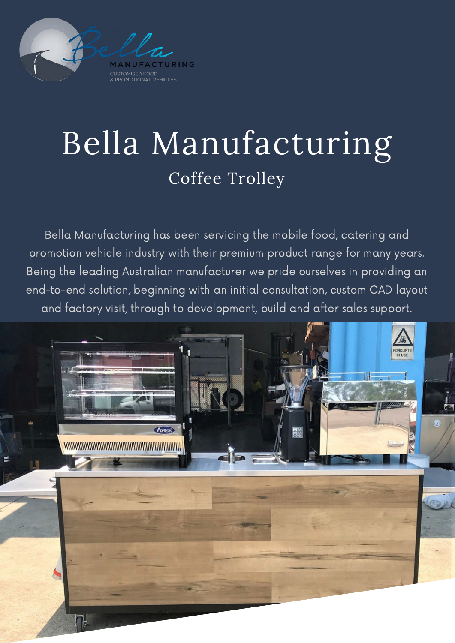

## Bella Manufacturing Coffee Trolley

Bella Manufacturing has been servicing the mobile food, catering and promotion vehicle industry with their premium product range for many years. Being the leading Australian manufacturer we pride ourselves in providing an end-to-end solution, beginning with an initial consultation, custom CAD layout and factory visit, through to development, build and after sales support.

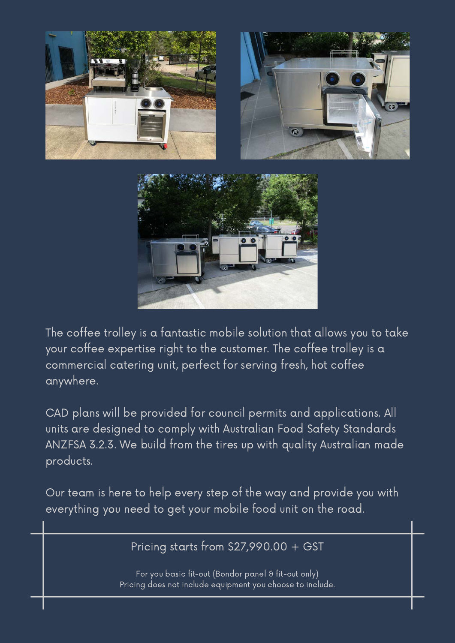





The coffee trolley is a fantastic mobile solution that allows you to take your coffee expertise right to the customer. The coffee trolley is a commercial catering unit, perfect for serving fresh, hot coffee anywhere.

CAD plans will be provided for council permits and applications. All units are designed to comply with Australian Food Safety Standards ANZFSA 3.2.3. We build from the tires up with quality Australian made products.

Our team is here to help every step of the way and provide you with everything you need to get your mobile food unit on the road.

Pricing starts from \$27,990.00 + GST

For you basic fit-out (Bondor panel & fit-out only) Pricing does not include equipment you choose to include.